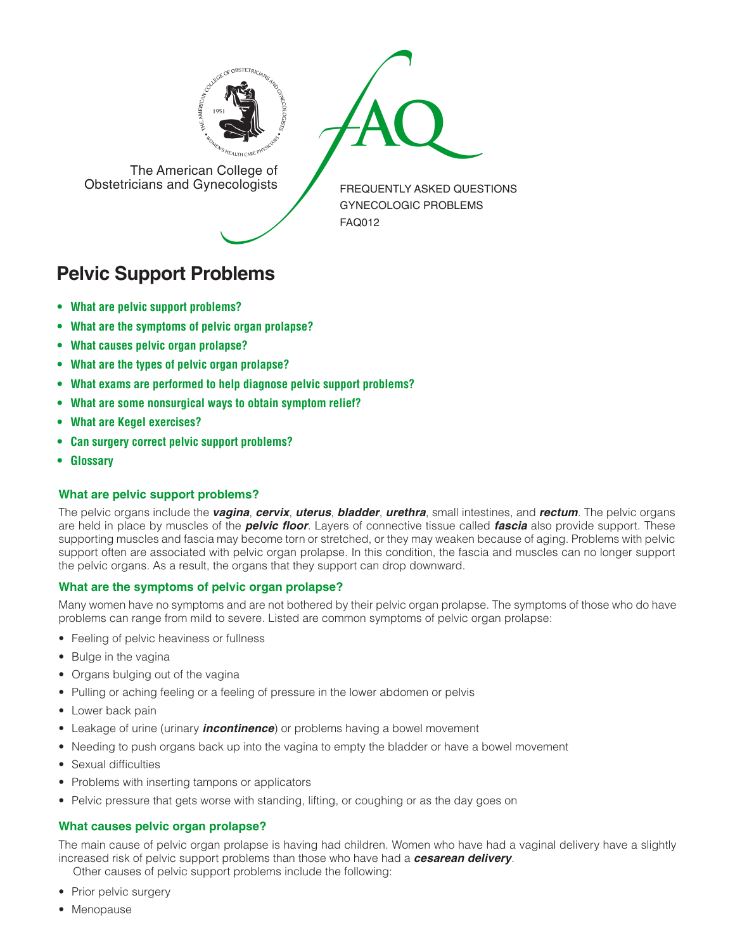



The American College of<br>Obstetricians and Gynecologists

FREQUENTLY ASKED QUESTIONS GYNECOLOGIC PROBLEMS FAQ012

# **Pelvic Support Problems**

- **• What are pelvic support [problems?](#page-0-0)**
- **• What are the [symptoms](#page-0-1) of pelvic organ prolapse?**
- **• What causes pelvic organ [prolapse?](#page-0-2)**
- **• What are the types of pelvic organ [prolapse?](#page-1-0)**
- **• What exams are performed to help diagnose pelvic support [problems?](#page-1-1)**
- **• What are some [nonsurgical](#page-1-2) ways to obtain symptom relief?**
- **• What are Kegel [exercises?](#page-1-3)**
- **• Can surgery correct pelvic support [problems?](#page-1-4)**
- **[• Glossary](#page-1-5)**

### <span id="page-0-0"></span>**What are pelvic support problems?**

The pelvic organs include the *vagina*, *cervix*, *uterus*, *bladder*, *urethra*, small intestines, and *rectum*. The pelvic organs are held in place by muscles of the *pelvic floor*. Layers of connective tissue called *fascia* also provide support. These supporting muscles and fascia may become torn or stretched, or they may weaken because of aging. Problems with pelvic support often are associated with pelvic organ prolapse. In this condition, the fascia and muscles can no longer support the pelvic organs. As a result, the organs that they support can drop downward.

### <span id="page-0-1"></span>**What are the symptoms of pelvic organ prolapse?**

Many women have no symptoms and are not bothered by their pelvic organ prolapse. The symptoms of those who do have problems can range from mild to severe. Listed are common symptoms of pelvic organ prolapse:

- Feeling of pelvic heaviness or fullness
- Bulge in the vagina
- Organs bulging out of the vagina
- Pulling or aching feeling or a feeling of pressure in the lower abdomen or pelvis
- Lower back pain
- Leakage of urine (urinary *incontinence*) or problems having a bowel movement
- Needing to push organs back up into the vagina to empty the bladder or have a bowel movement
- Sexual difficulties
- Problems with inserting tampons or applicators
- Pelvic pressure that gets worse with standing, lifting, or coughing or as the day goes on

### <span id="page-0-2"></span>**What causes pelvic organ prolapse?**

The main cause of pelvic organ prolapse is having had children. Women who have had a vaginal delivery have a slightly increased risk of pelvic support problems than those who have had a *cesarean delivery*.

Other causes of pelvic support problems include the following:

- Prior pelvic surgery
- Menopause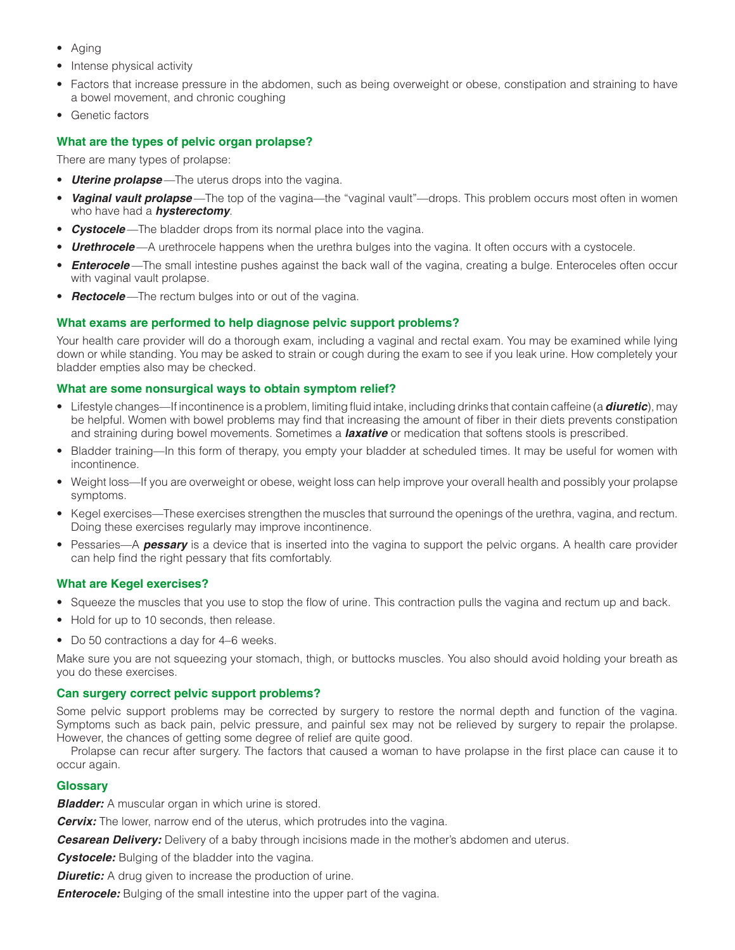- Aging
- Intense physical activity
- Factors that increase pressure in the abdomen, such as being overweight or obese, constipation and straining to have a bowel movement, and chronic coughing
- Genetic factors

## <span id="page-1-0"></span>**What are the types of pelvic organ prolapse?**

There are many types of prolapse:

- *Uterine prolapse* —The uterus drops into the vagina.
- *Vaginal vault prolapse* —The top of the vagina—the "vaginal vault"—drops. This problem occurs most often in women who have had a *hysterectomy*.
- **Cystocele**—The bladder drops from its normal place into the vagina.
- *Urethrocele* —A urethrocele happens when the urethra bulges into the vagina. It often occurs with a cystocele.
- *Enterocele* —The small intestine pushes against the back wall of the vagina, creating a bulge. Enteroceles often occur with vaginal vault prolapse.
- **Rectocele**—The rectum bulges into or out of the vagina.

### <span id="page-1-1"></span>**What exams are performed to help diagnose pelvic support problems?**

Your health care provider will do a thorough exam, including a vaginal and rectal exam. You may be examined while lying down or while standing. You may be asked to strain or cough during the exam to see if you leak urine. How completely your bladder empties also may be checked.

### <span id="page-1-2"></span>**What are some nonsurgical ways to obtain symptom relief?**

- Lifestyle changes—If incontinence is a problem, limiting fluid intake, including drinks that contain caffeine (a *diuretic*), may be helpful. Women with bowel problems may find that increasing the amount of fiber in their diets prevents constipation and straining during bowel movements. Sometimes a *laxative* or medication that softens stools is prescribed.
- Bladder training—In this form of therapy, you empty your bladder at scheduled times. It may be useful for women with incontinence.
- Weight loss—If you are overweight or obese, weight loss can help improve your overall health and possibly your prolapse symptoms.
- Kegel exercises—These exercises strengthen the muscles that surround the openings of the urethra, vagina, and rectum. Doing these exercises regularly may improve incontinence.
- Pessaries—A *pessary* is a device that is inserted into the vagina to support the pelvic organs. A health care provider can help find the right pessary that fits comfortably.

### <span id="page-1-3"></span>**What are Kegel exercises?**

- Squeeze the muscles that you use to stop the flow of urine. This contraction pulls the vagina and rectum up and back.
- Hold for up to 10 seconds, then release.
- Do 50 contractions a day for 4–6 weeks.

Make sure you are not squeezing your stomach, thigh, or buttocks muscles. You also should avoid holding your breath as you do these exercises.

### <span id="page-1-4"></span>**Can surgery correct pelvic support problems?**

Some pelvic support problems may be corrected by surgery to restore the normal depth and function of the vagina. Symptoms such as back pain, pelvic pressure, and painful sex may not be relieved by surgery to repair the prolapse. However, the chances of getting some degree of relief are quite good.

Prolapse can recur after surgery. The factors that caused a woman to have prolapse in the first place can cause it to occur again.

### <span id="page-1-5"></span>**Glossary**

**Bladder:** A muscular organ in which urine is stored.

*Cervix:* The lower, narrow end of the uterus, which protrudes into the vagina.

**Cesarean Delivery:** Delivery of a baby through incisions made in the mother's abdomen and uterus.

**Cystocele:** Bulging of the bladder into the vagina.

**Diuretic:** A drug given to increase the production of urine.

*Enterocele:* Bulging of the small intestine into the upper part of the vagina.